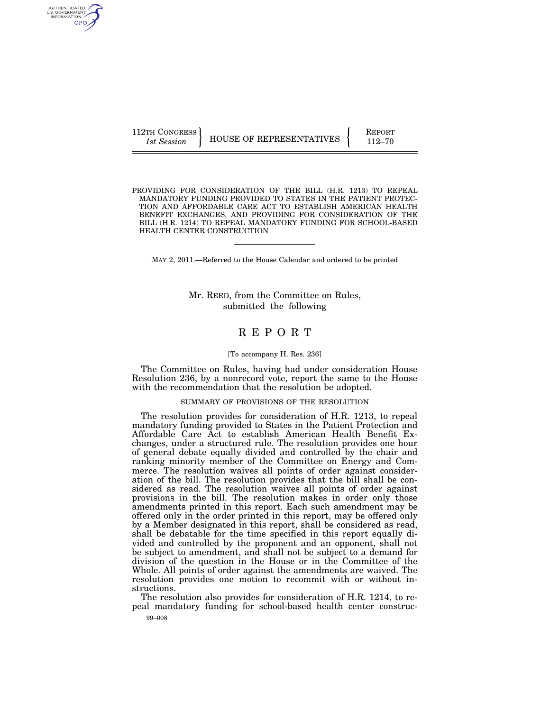| 112TH CONGRESS |                          | <b>REPORT</b> |
|----------------|--------------------------|---------------|
| 1st Session    | HOUSE OF REPRESENTATIVES | $112 - 70$    |

PROVIDING FOR CONSIDERATION OF THE BILL (H.R. 1213) TO REPEAL MANDATORY FUNDING PROVIDED TO STATES IN THE PATIENT PROTEC-TION AND AFFORDABLE CARE ACT TO ESTABLISH AMERICAN HEALTH BENEFIT EXCHANGES, AND PROVIDING FOR CONSIDERATION OF THE BILL (H.R. 1214) TO REPEAL MANDATORY FUNDING FOR SCHOOL-BASED HEALTH CENTER CONSTRUCTION

MAY 2, 2011.—Referred to the House Calendar and ordered to be printed

Mr. REED, from the Committee on Rules, submitted the following

# R E P O R T

### [To accompany H. Res. 236]

The Committee on Rules, having had under consideration House Resolution 236, by a nonrecord vote, report the same to the House with the recommendation that the resolution be adopted.

### SUMMARY OF PROVISIONS OF THE RESOLUTION

The resolution provides for consideration of H.R. 1213, to repeal mandatory funding provided to States in the Patient Protection and Affordable Care Act to establish American Health Benefit Exchanges, under a structured rule. The resolution provides one hour of general debate equally divided and controlled by the chair and ranking minority member of the Committee on Energy and Commerce. The resolution waives all points of order against consideration of the bill. The resolution provides that the bill shall be considered as read. The resolution waives all points of order against provisions in the bill. The resolution makes in order only those amendments printed in this report. Each such amendment may be offered only in the order printed in this report, may be offered only by a Member designated in this report, shall be considered as read, shall be debatable for the time specified in this report equally divided and controlled by the proponent and an opponent, shall not be subject to amendment, and shall not be subject to a demand for division of the question in the House or in the Committee of the Whole. All points of order against the amendments are waived. The resolution provides one motion to recommit with or without instructions.

The resolution also provides for consideration of H.R. 1214, to repeal mandatory funding for school-based health center construc-

99–008

AUTHENTICATED<br>U.S. GOVERNMENT<br>INFORMATION GPO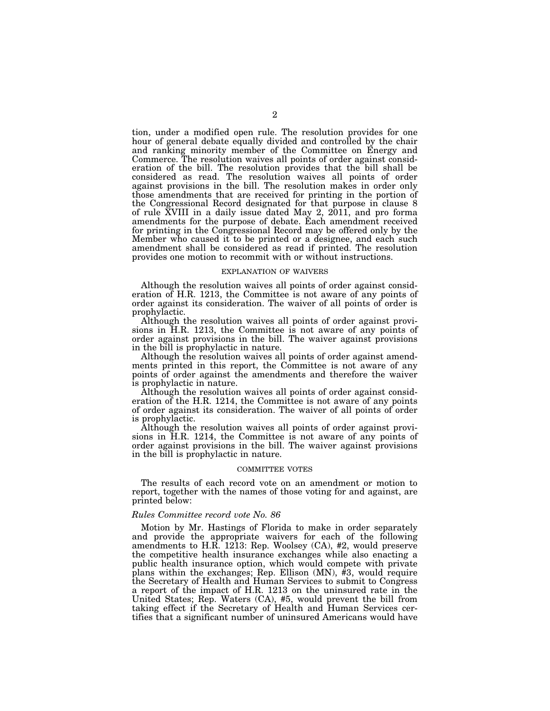tion, under a modified open rule. The resolution provides for one hour of general debate equally divided and controlled by the chair and ranking minority member of the Committee on Energy and Commerce. The resolution waives all points of order against consideration of the bill. The resolution provides that the bill shall be considered as read. The resolution waives all points of order against provisions in the bill. The resolution makes in order only those amendments that are received for printing in the portion of the Congressional Record designated for that purpose in clause 8 of rule XVIII in a daily issue dated May 2, 2011, and pro forma amendments for the purpose of debate. Each amendment received for printing in the Congressional Record may be offered only by the Member who caused it to be printed or a designee, and each such amendment shall be considered as read if printed. The resolution provides one motion to recommit with or without instructions.

#### EXPLANATION OF WAIVERS

Although the resolution waives all points of order against consideration of H.R. 1213, the Committee is not aware of any points of order against its consideration. The waiver of all points of order is prophylactic.

Although the resolution waives all points of order against provisions in H.R. 1213, the Committee is not aware of any points of order against provisions in the bill. The waiver against provisions in the bill is prophylactic in nature.

Although the resolution waives all points of order against amendments printed in this report, the Committee is not aware of any points of order against the amendments and therefore the waiver is prophylactic in nature.

Although the resolution waives all points of order against consideration of the H.R. 1214, the Committee is not aware of any points of order against its consideration. The waiver of all points of order is prophylactic.

Although the resolution waives all points of order against provisions in H.R. 1214, the Committee is not aware of any points of order against provisions in the bill. The waiver against provisions in the bill is prophylactic in nature.

### COMMITTEE VOTES

The results of each record vote on an amendment or motion to report, together with the names of those voting for and against, are printed below:

# *Rules Committee record vote No. 86*

Motion by Mr. Hastings of Florida to make in order separately and provide the appropriate waivers for each of the following amendments to H.R. 1213: Rep. Woolsey (CA), #2, would preserve the competitive health insurance exchanges while also enacting a public health insurance option, which would compete with private plans within the exchanges; Rep. Ellison (MN), #3, would require the Secretary of Health and Human Services to submit to Congress a report of the impact of H.R. 1213 on the uninsured rate in the United States; Rep. Waters (CA), #5, would prevent the bill from taking effect if the Secretary of Health and Human Services certifies that a significant number of uninsured Americans would have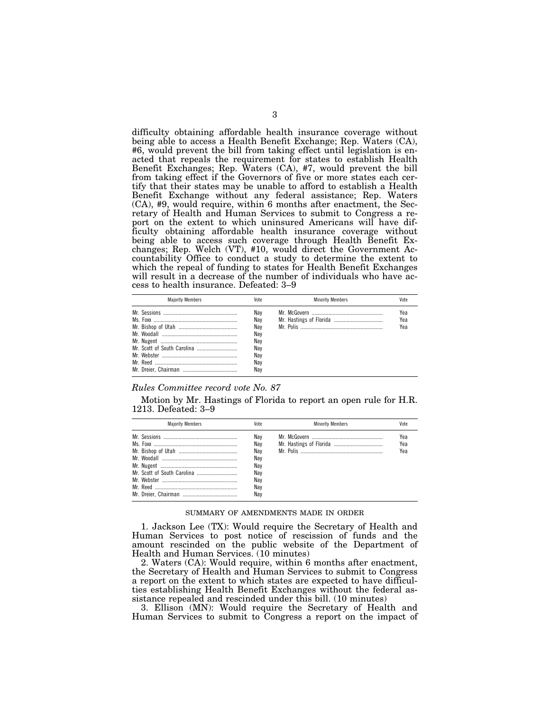difficulty obtaining affordable health insurance coverage without being able to access a Health Benefit Exchange; Rep. Waters (CA), #6, would prevent the bill from taking effect until legislation is enacted that repeals the requirement for states to establish Health Benefit Exchanges; Rep. Waters (CA), #7, would prevent the bill from taking effect if the Governors of five or more states each certify that their states may be unable to afford to establish a Health Benefit Exchange without any federal assistance; Rep. Waters (CA), #9, would require, within 6 months after enactment, the Secretary of Health and Human Services to submit to Congress a report on the extent to which uninsured Americans will have difficulty obtaining affordable health insurance coverage without being able to access such coverage through Health Benefit Exchanges; Rep. Welch (VT), #10, would direct the Government Accountability Office to conduct a study to determine the extent to which the repeal of funding to states for Health Benefit Exchanges will result in a decrease of the number of individuals who have access to health insurance. Defeated: 3–9

| <b>Maiority Members</b> | Vote                                                        | <b>Minority Members</b> | Vote              |
|-------------------------|-------------------------------------------------------------|-------------------------|-------------------|
|                         | Nav<br>Nav<br>Nav<br>Nav<br>Nay<br>Nav<br>Nav<br>Nav<br>Nav |                         | Yea<br>Yea<br>Yea |

# *Rules Committee record vote No. 87*

Motion by Mr. Hastings of Florida to report an open rule for H.R. 1213. Defeated: 3–9

| <b>Maiority Members</b> | Vote                                                        | <b>Minority Members</b> | Vote              |
|-------------------------|-------------------------------------------------------------|-------------------------|-------------------|
|                         | Nav<br>Nav<br>Nav<br>Nav<br>Nav<br>Nav<br>Nav<br>Nav<br>Nav |                         | Yea<br>Yea<br>Yea |

### SUMMARY OF AMENDMENTS MADE IN ORDER

1. Jackson Lee (TX): Would require the Secretary of Health and Human Services to post notice of rescission of funds and the amount rescinded on the public website of the Department of Health and Human Services. (10 minutes)

2. Waters (CA): Would require, within 6 months after enactment, the Secretary of Health and Human Services to submit to Congress a report on the extent to which states are expected to have difficulties establishing Health Benefit Exchanges without the federal assistance repealed and rescinded under this bill. (10 minutes)

3. Ellison (MN): Would require the Secretary of Health and Human Services to submit to Congress a report on the impact of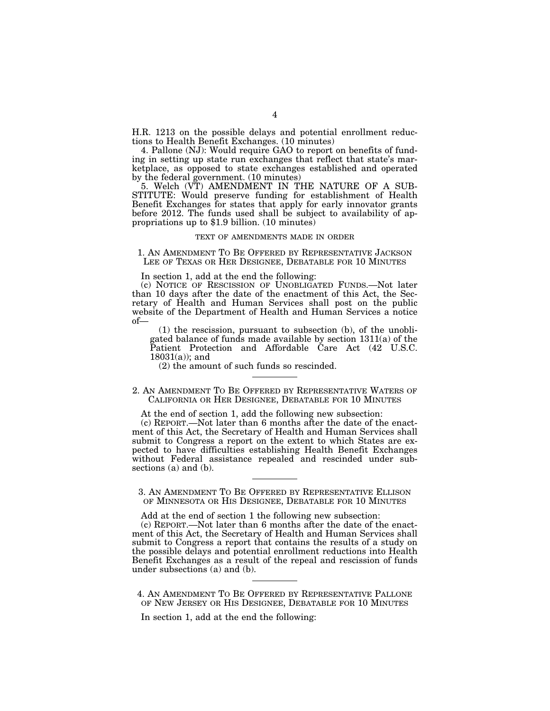H.R. 1213 on the possible delays and potential enrollment reductions to Health Benefit Exchanges. (10 minutes)

4. Pallone (NJ): Would require GAO to report on benefits of funding in setting up state run exchanges that reflect that state's marketplace, as opposed to state exchanges established and operated by the federal government. (10 minutes)

5. Welch (VT) AMENDMENT IN THE NATURE OF A SUB-STITUTE: Would preserve funding for establishment of Health Benefit Exchanges for states that apply for early innovator grants before 2012. The funds used shall be subject to availability of appropriations up to \$1.9 billion. (10 minutes)

## TEXT OF AMENDMENTS MADE IN ORDER

1. AN AMENDMENT TO BE OFFERED BY REPRESENTATIVE JACKSON LEE OF TEXAS OR HER DESIGNEE, DEBATABLE FOR 10 MINUTES

In section 1, add at the end the following:

(c) NOTICE OF RESCISSION OF UNOBLIGATED FUNDS.—Not later than 10 days after the date of the enactment of this Act, the Secretary of Health and Human Services shall post on the public website of the Department of Health and Human Services a notice of—

(1) the rescission, pursuant to subsection (b), of the unobligated balance of funds made available by section 1311(a) of the Patient Protection and Affordable Care Act (42 U.S.C. 18031(a)); and

(2) the amount of such funds so rescinded.

2. AN AMENDMENT TO BE OFFERED BY REPRESENTATIVE WATERS OF CALIFORNIA OR HER DESIGNEE, DEBATABLE FOR 10 MINUTES

At the end of section 1, add the following new subsection:

(c) REPORT.—Not later than 6 months after the date of the enactment of this Act, the Secretary of Health and Human Services shall submit to Congress a report on the extent to which States are expected to have difficulties establishing Health Benefit Exchanges without Federal assistance repealed and rescinded under subsections (a) and (b).

3. AN AMENDMENT TO BE OFFERED BY REPRESENTATIVE ELLISON OF MINNESOTA OR HIS DESIGNEE, DEBATABLE FOR 10 MINUTES

Add at the end of section 1 the following new subsection:

(c) REPORT.—Not later than 6 months after the date of the enactment of this Act, the Secretary of Health and Human Services shall submit to Congress a report that contains the results of a study on the possible delays and potential enrollment reductions into Health Benefit Exchanges as a result of the repeal and rescission of funds under subsections (a) and (b).

4. AN AMENDMENT TO BE OFFERED BY REPRESENTATIVE PALLONE OF NEW JERSEY OR HIS DESIGNEE, DEBATABLE FOR 10 MINUTES

In section 1, add at the end the following: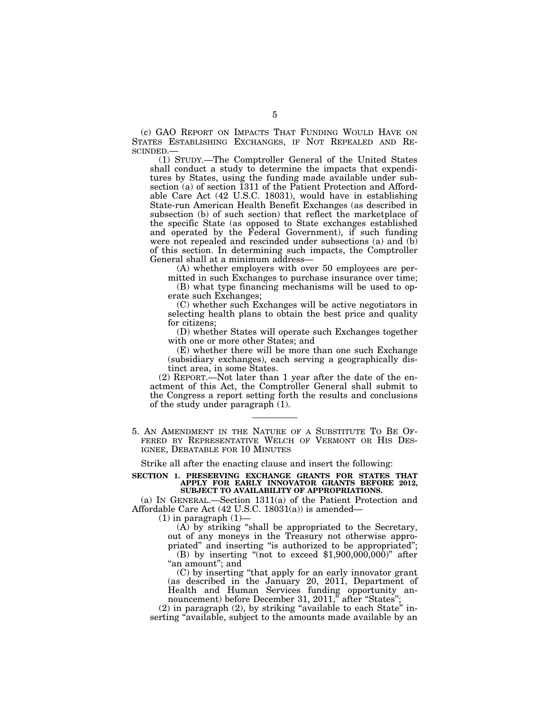(c) GAO REPORT ON IMPACTS THAT FUNDING WOULD HAVE ON STATES ESTABLISHING EXCHANGES, IF NOT REPEALED AND RE-SCINDED.—

(1) STUDY.—The Comptroller General of the United States shall conduct a study to determine the impacts that expenditures by States, using the funding made available under subsection (a) of section 1311 of the Patient Protection and Affordable Care Act (42 U.S.C. 18031), would have in establishing State-run American Health Benefit Exchanges (as described in subsection (b) of such section) that reflect the marketplace of the specific State (as opposed to State exchanges established and operated by the Federal Government), if such funding were not repealed and rescinded under subsections (a) and (b) of this section. In determining such impacts, the Comptroller General shall at a minimum address—

(A) whether employers with over 50 employees are permitted in such Exchanges to purchase insurance over time;

(B) what type financing mechanisms will be used to operate such Exchanges;

(C) whether such Exchanges will be active negotiators in selecting health plans to obtain the best price and quality for citizens;

(D) whether States will operate such Exchanges together with one or more other States; and

(E) whether there will be more than one such Exchange (subsidiary exchanges), each serving a geographically distinct area, in some States.

(2) REPORT.—Not later than 1 year after the date of the enactment of this Act, the Comptroller General shall submit to the Congress a report setting forth the results and conclusions of the study under paragraph (1).

5. AN AMENDMENT IN THE NATURE OF A SUBSTITUTE TO BE OF-FERED BY REPRESENTATIVE WELCH OF VERMONT OR HIS DES-IGNEE, DEBATABLE FOR 10 MINUTES

Strike all after the enacting clause and insert the following:

#### **SECTION 1. PRESERVING EXCHANGE GRANTS FOR STATES THAT APPLY FOR EARLY INNOVATOR GRANTS BEFORE 2012, SUBJECT TO AVAILABILITY OF APPROPRIATIONS.**

(a) IN GENERAL.—Section 1311(a) of the Patient Protection and Affordable Care Act (42 U.S.C. 18031(a)) is amended—

 $(1)$  in paragraph  $(1)$ —

(A) by striking ''shall be appropriated to the Secretary, out of any moneys in the Treasury not otherwise appropriated'' and inserting ''is authorized to be appropriated''; (B) by inserting "(not to exceed  $$1,900,000,000$ )" after "an amount"; and

(C) by inserting ''that apply for an early innovator grant (as described in the January 20, 2011, Department of Health and Human Services funding opportunity announcement) before December 31, 2011," after "States"

 $(2)$  in paragraph  $(2)$ , by striking "available to each State" inserting "available, subject to the amounts made available by an